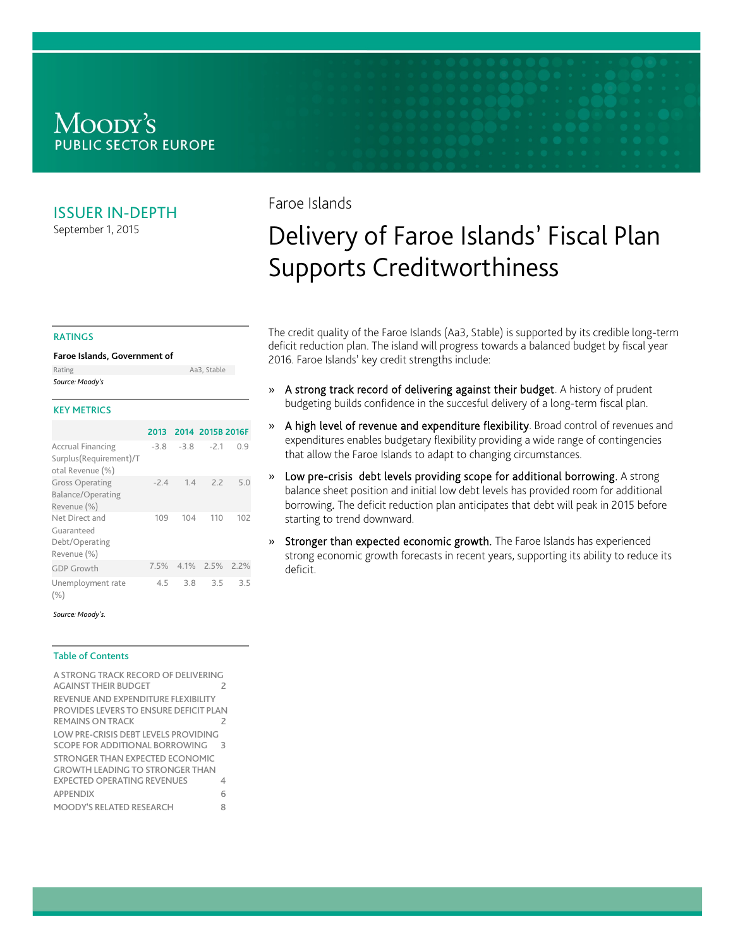### Moody's **PUBLIC SECTOR EUROPE**

#### ISSUER IN-DEPTH

September 1, 2015

### Faroe Islands

# Delivery of Faroe Islands' Fiscal Plan Supports Creditworthiness

The credit quality of the Faroe Islands (Aa3, Stable) is supported by its credible long-term deficit reduction plan. The island will progress towards a balanced budget by fiscal year 2016. Faroe Islands' key credit strengths include:

- » A strong track record of delivering against their budget. A history of prudent budgeting builds confidence in the succesful delivery of a long-term fiscal plan.
- » A high level of revenue and expenditure flexibility. Broad control of revenues and expenditures enables budgetary flexibility providing a wide range of contingencies that allow the Faroe Islands to adapt to changing circumstances.
- » Low pre-crisis debt levels providing scope for additional borrowing. A strong balance sheet position and initial low debt levels has provided room for additional borrowing. The deficit reduction plan anticipates that debt will peak in 2015 before starting to trend downward.
- » Stronger than expected economic growth. The Faroe Islands has experienced strong economic growth forecasts in recent years, supporting its ability to reduce its deficit.

#### RATINGS

#### **Faroe Islands, Government of**

| Source: Moody's |             |
|-----------------|-------------|
| Rating          | Aa3. Stable |

#### KEY METRICS

|                                                                        | 2013   |        | 2014 2015B 2016F |     |
|------------------------------------------------------------------------|--------|--------|------------------|-----|
| <b>Accrual Financing</b><br>Surplus(Requirement)/T<br>otal Revenue (%) | $-3.8$ | $-3.8$ | $-2.1$           | 0.9 |
| <b>Gross Operating</b><br>Balance/Operating<br>Revenue (%)             | $-2.4$ | 1.4    | 22               | 5 O |
| Net Direct and<br>Guaranteed<br>Debt/Operating<br>Revenue (%)          | 109    | 104    | 110              | 102 |
| <b>GDP Growth</b>                                                      | 7.5%   |        | 4.1% 2.5% 2.2%   |     |
| Unemployment rate<br>(% )                                              | 45     | 3.8    | 3.5              | 35  |

#### *Source: Moody's.*

#### Table of Contents

| A STRONG TRACK RECORD OF DELIVERING<br><b>AGAINST THEIR BUDGET</b>                                              | 2             |
|-----------------------------------------------------------------------------------------------------------------|---------------|
| REVENUE AND EXPENDITURE FLEXIBILITY<br>PROVIDES LEVERS TO ENSURE DEFICIT PLAN<br>REMAINS ON TRACK               |               |
| LOW PRE-CRISIS DEBT LEVELS PROVIDING<br>SCOPE FOR ADDITIONAL BORROWING                                          | $\rightarrow$ |
| STRONGER THAN EXPECTED ECONOMIC<br><b>GROWTH LEADING TO STRONGER THAN</b><br><b>EXPECTED OPERATING REVENUES</b> | 4             |
| <b>APPFNDIX</b>                                                                                                 | 6             |
| <b>MOODY'S RELATED RESEARCH</b>                                                                                 | 8             |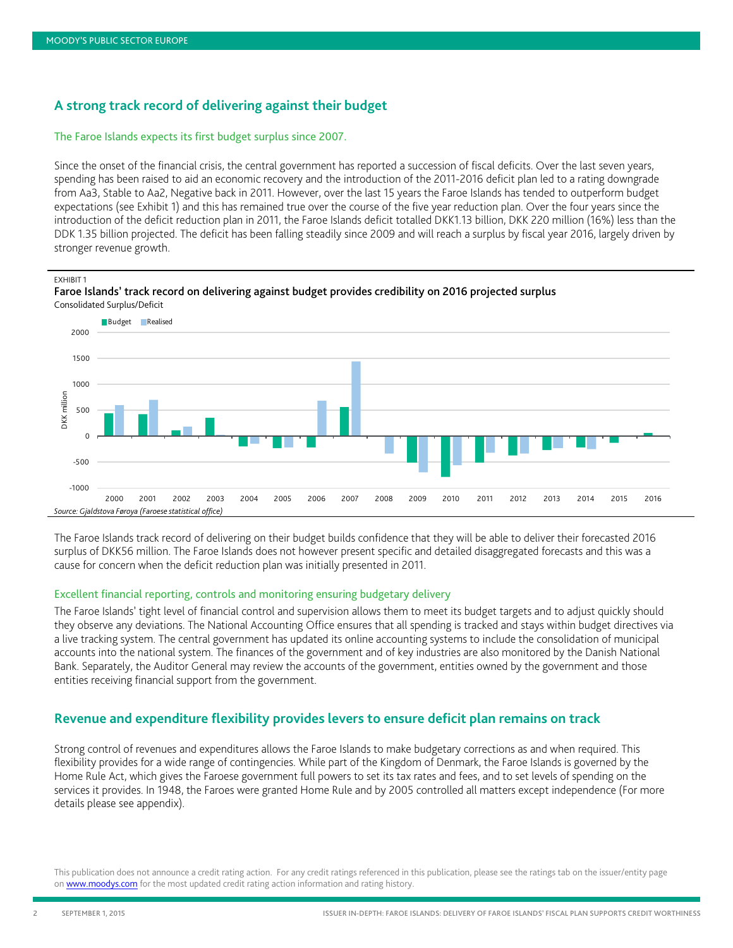#### <span id="page-1-0"></span>**A strong track record of delivering against their budget**

#### The Faroe Islands expects its first budget surplus since 2007.

Since the onset of the financial crisis, the central government has reported a succession of fiscal deficits. Over the last seven years, spending has been raised to aid an economic recovery and the introduction of the 2011-2016 deficit plan led to a rating downgrade from Aa3, Stable to Aa2, Negative back in 2011. However, over the last 15 years the Faroe Islands has tended to outperform budget expectations (see Exhibit 1) and this has remained true over the course of the five year reduction plan. Over the four years since the introduction of the deficit reduction plan in 2011, the Faroe Islands deficit totalled DKK1.13 billion, DKK 220 million (16%) less than the DDK 1.35 billion projected. The deficit has been falling steadily since 2009 and will reach a surplus by fiscal year 2016, largely driven by stronger revenue growth.

EXHIBIT 1



Faroe Islands' track record on delivering against budget provides credibility on 2016 projected surplus Consolidated Surplus/Deficit

The Faroe Islands track record of delivering on their budget builds confidence that they will be able to deliver their forecasted 2016 surplus of DKK56 million. The Faroe Islands does not however present specific and detailed disaggregated forecasts and this was a cause for concern when the deficit reduction plan was initially presented in 2011.

#### Excellent financial reporting, controls and monitoring ensuring budgetary delivery

The Faroe Islands' tight level of financial control and supervision allows them to meet its budget targets and to adjust quickly should they observe any deviations. The National Accounting Office ensures that all spending is tracked and stays within budget directives via a live tracking system. The central government has updated its online accounting systems to include the consolidation of municipal accounts into the national system. The finances of the government and of key industries are also monitored by the Danish National Bank. Separately, the Auditor General may review the accounts of the government, entities owned by the government and those entities receiving financial support from the government.

#### <span id="page-1-1"></span>**Revenue and expenditure flexibility provides levers to ensure deficit plan remains on track**

Strong control of revenues and expenditures allows the Faroe Islands to make budgetary corrections as and when required. This flexibility provides for a wide range of contingencies. While part of the Kingdom of Denmark, the Faroe Islands is governed by the Home Rule Act, which gives the Faroese government full powers to set its tax rates and fees, and to set levels of spending on the services it provides. In 1948, the Faroes were granted Home Rule and by 2005 controlled all matters except independence (For more details please see appendix).

This publication does not announce a credit rating action. For any credit ratings referenced in this publication, please see the ratings tab on the issuer/entity page o[n www.moodys.com](http://www.moodys.com/) for the most updated credit rating action information and rating history.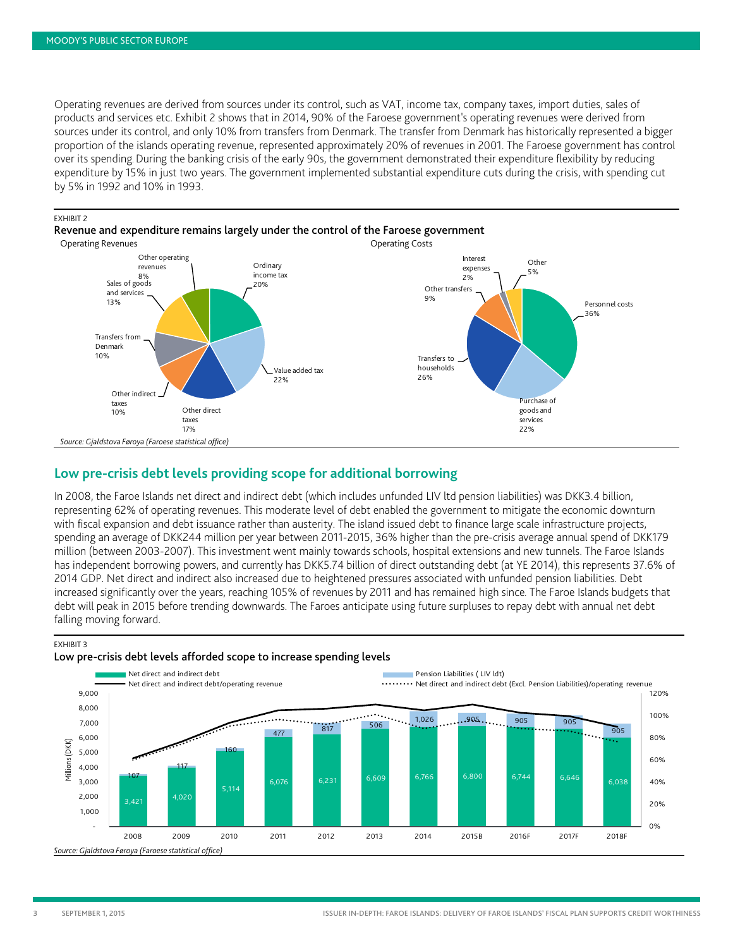Operating revenues are derived from sources under its control, such as VAT, income tax, company taxes, import duties, sales of products and services etc. Exhibit 2 shows that in 2014, 90% of the Faroese government's operating revenues were derived from sources under its control, and only 10% from transfers from Denmark. The transfer from Denmark has historically represented a bigger proportion of the islands operating revenue, represented approximately 20% of revenues in 2001. The Faroese government has control over its spending. During the banking crisis of the early 90s, the government demonstrated their expenditure flexibility by reducing expenditure by 15% in just two years. The government implemented substantial expenditure cuts during the crisis, with spending cut by 5% in 1992 and 10% in 1993.

#### EXHIBIT 2

Revenue and expenditure remains largely under the control of the Faroese government



#### <span id="page-2-0"></span>**Low pre-crisis debt levels providing scope for additional borrowing**

In 2008, the Faroe Islands net direct and indirect debt (which includes unfunded LIV ltd pension liabilities) was DKK3.4 billion, representing 62% of operating revenues. This moderate level of debt enabled the government to mitigate the economic downturn with fiscal expansion and debt issuance rather than austerity. The island issued debt to finance large scale infrastructure projects, spending an average of DKK244 million per year between 2011-2015, 36% higher than the pre-crisis average annual spend of DKK179 million (between 2003-2007). This investment went mainly towards schools, hospital extensions and new tunnels. The Faroe Islands has independent borrowing powers, and currently has DKK5.74 billion of direct outstanding debt (at YE 2014), this represents 37.6% of 2014 GDP. Net direct and indirect also increased due to heightened pressures associated with unfunded pension liabilities. Debt increased significantly over the years, reaching 105% of revenues by 2011 and has remained high since. The Faroe Islands budgets that debt will peak in 2015 before trending downwards. The Faroes anticipate using future surpluses to repay debt with annual net debt falling moving forward.

EXHIBIT 3



#### Low pre-crisis debt levels afforded scope to increase spending levels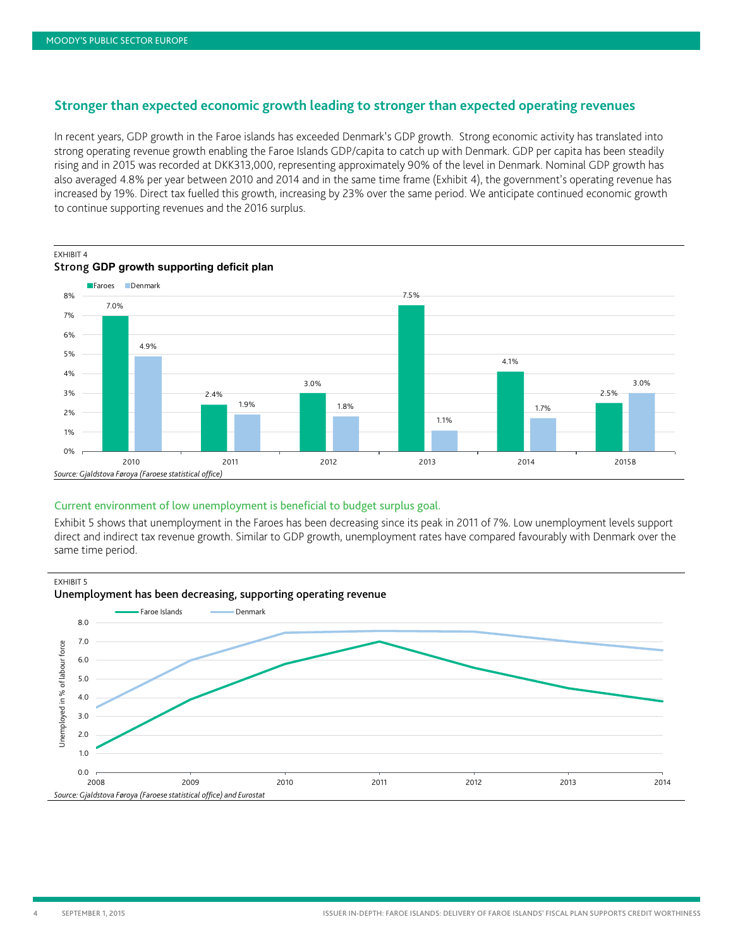#### <span id="page-3-0"></span>**Stronger than expected economic growth leading to stronger than expected operating revenues**

In recent years, GDP growth in the Faroe islands has exceeded Denmark's GDP growth. Strong economic activity has translated into strong operating revenue growth enabling the Faroe Islands GDP/capita to catch up with Denmark. GDP per capita has been steadily rising and in 2015 was recorded at DKK313,000, representing approximately 90% of the level in Denmark. Nominal GDP growth has also averaged 4.8% per year between 2010 and 2014 and in the same time frame (Exhibit 4), the government's operating revenue has increased by 19%. Direct tax fuelled this growth, increasing by 23% over the same period. We anticipate continued economic growth to continue supporting revenues and the 2016 surplus.



## EXHIBIT 4

#### Current environment of low unemployment is beneficial to budget surplus goal.

Exhibit 5 shows that unemployment in the Faroes has been decreasing since its peak in 2011 of 7%. Low unemployment levels support direct and indirect tax revenue growth. Similar to GDP growth, unemployment rates have compared favourably with Denmark over the same time period.

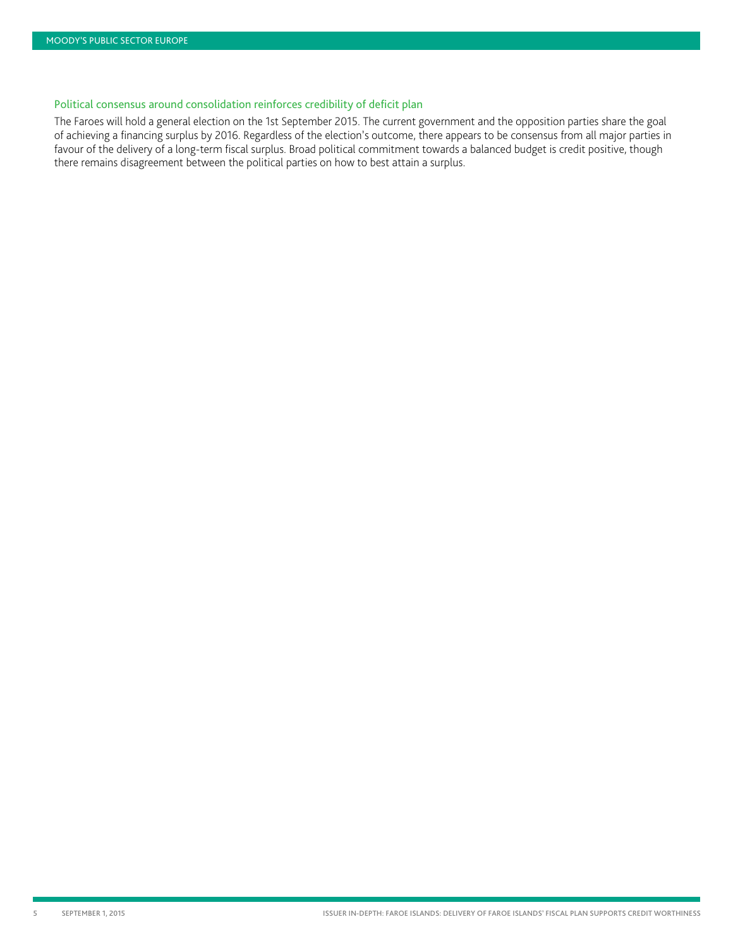#### Political consensus around consolidation reinforces credibility of deficit plan

The Faroes will hold a general election on the 1st September 2015. The current government and the opposition parties share the goal of achieving a financing surplus by 2016. Regardless of the election's outcome, there appears to be consensus from all major parties in favour of the delivery of a long-term fiscal surplus. Broad political commitment towards a balanced budget is credit positive, though there remains disagreement between the political parties on how to best attain a surplus.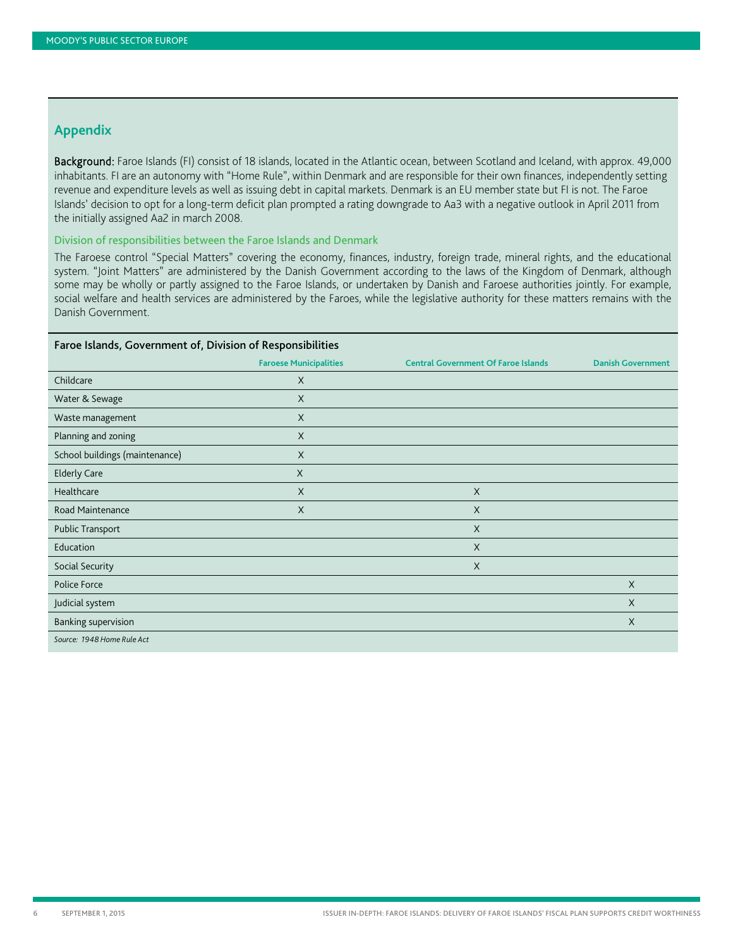#### <span id="page-5-0"></span>**Appendix**

Background: Faroe Islands (FI) consist of 18 islands, located in the Atlantic ocean, between Scotland and Iceland, with approx. 49,000 inhabitants. FI are an autonomy with "Home Rule", within Denmark and are responsible for their own finances, independently setting revenue and expenditure levels as well as issuing debt in capital markets. Denmark is an EU member state but FI is not. The Faroe Islands' decision to opt for a long-term deficit plan prompted a rating downgrade to Aa3 with a negative outlook in April 2011 from the initially assigned Aa2 in march 2008.

#### Division of responsibilities between the Faroe Islands and Denmark

The Faroese control "Special Matters" covering the economy, finances, industry, foreign trade, mineral rights, and the educational system. "Joint Matters" are administered by the Danish Government according to the laws of the Kingdom of Denmark, although some may be wholly or partly assigned to the Faroe Islands, or undertaken by Danish and Faroese authorities jointly. For example, social welfare and health services are administered by the Faroes, while the legislative authority for these matters remains with the Danish Government.

| Faroe Islands, Government of, Division of Responsibilities |                               |                                            |                          |  |
|------------------------------------------------------------|-------------------------------|--------------------------------------------|--------------------------|--|
|                                                            | <b>Faroese Municipalities</b> | <b>Central Government Of Faroe Islands</b> | <b>Danish Government</b> |  |
| Childcare                                                  | $\mathsf{X}$                  |                                            |                          |  |
| Water & Sewage                                             | $\sf X$                       |                                            |                          |  |
| Waste management                                           | $\sf X$                       |                                            |                          |  |
| Planning and zoning                                        | $\mathsf{X}$                  |                                            |                          |  |
| School buildings (maintenance)                             | $\sf X$                       |                                            |                          |  |
| <b>Elderly Care</b>                                        | $\times$                      |                                            |                          |  |
| Healthcare                                                 | X                             | X                                          |                          |  |
| Road Maintenance                                           | $\sf X$                       | $\times$                                   |                          |  |
| Public Transport                                           |                               | $\times$                                   |                          |  |
| Education                                                  |                               | $\times$                                   |                          |  |
| Social Security                                            |                               | $\times$                                   |                          |  |
| Police Force                                               |                               |                                            | X                        |  |
| Judicial system                                            |                               |                                            | $\mathsf{X}$             |  |
| <b>Banking supervision</b>                                 |                               |                                            | X                        |  |
| Source: 1948 Home Rule Act                                 |                               |                                            |                          |  |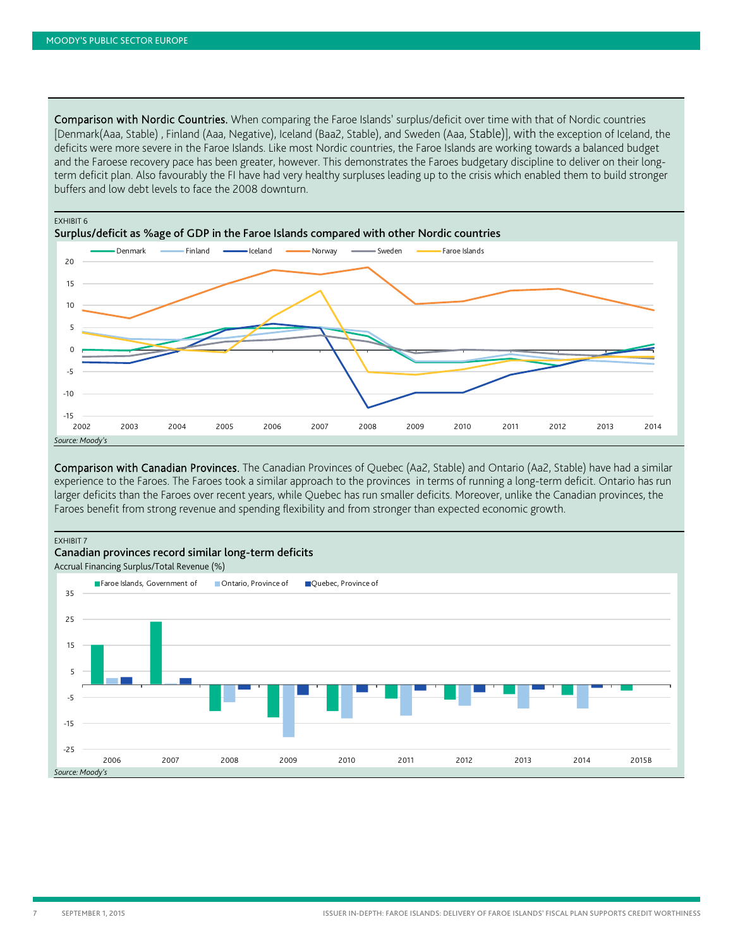Comparison with Nordic Countries. When comparing the Faroe Islands' surplus/deficit over time with that of Nordic countries [Denmark(Aaa, Stable) , Finland (Aaa, Negative), Iceland (Baa2, Stable), and Sweden (Aaa, Stable)], with the exception of Iceland, the deficits were more severe in the Faroe Islands. Like most Nordic countries, the Faroe Islands are working towards a balanced budget and the Faroese recovery pace has been greater, however. This demonstrates the Faroes budgetary discipline to deliver on their longterm deficit plan. Also favourably the FI have had very healthy surpluses leading up to the crisis which enabled them to build stronger buffers and low debt levels to face the 2008 downturn.



Comparison with Canadian Provinces. The Canadian Provinces of Quebec (Aa2, Stable) and Ontario (Aa2, Stable) have had a similar experience to the Faroes. The Faroes took a similar approach to the provinces in terms of running a long-term deficit. Ontario has run larger deficits than the Faroes over recent years, while Quebec has run smaller deficits. Moreover, unlike the Canadian provinces, the Faroes benefit from strong revenue and spending flexibility and from stronger than expected economic growth.

EXHIBIT 7

#### Canadian provinces record similar long-term deficits

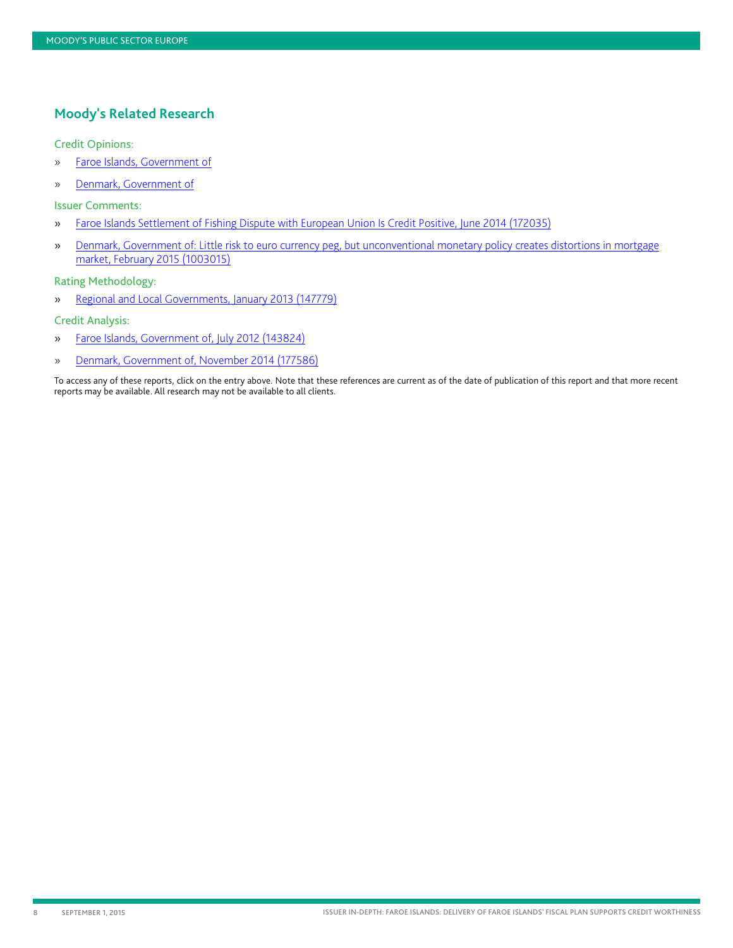#### <span id="page-7-0"></span>**Moody's Related Research**

#### Credit Opinions:

- » [Faroe Islands, Government of](https://www.moodys.com/research/Faroe-Islands-Government-of-Credit-Opinion--COP_820828907)
- » [Denmark, Government of](https://www.moodys.com/research/Denmark-Government-of-Credit-Opinion--COP_230700)

Issuer Comments:

- » [Faroe Islands Settlement of Fishing Dispute with European Union Is Credit Positive, June 2014](http://www.moodys.com/viewresearchdoc.aspx?docid=PBC_172035) (172035)
- » [Denmark, Government of: Little risk to euro currency peg, but unconventional monetary policy creates distortions in mortgage](http://www.moodys.com/viewresearchdoc.aspx?docid=PBC_1003015)  [market, February 2015 \(1003015\)](http://www.moodys.com/viewresearchdoc.aspx?docid=PBC_1003015)

#### Rating Methodology:

» [Regional and Local Governments, January 2013](http://www.moodys.com/viewresearchdoc.aspx?docid=PBC_147779) (147779)

#### Credit Analysis:

- » [Faroe Islands, Government of, July 2012](http://www.moodys.com/viewresearchdoc.aspx?docid=PBC_143824) (143824)
- » [Denmark, Government of, November 2014 \(177586\)](http://www.moodys.com/viewresearchdoc.aspx?docid=PBC_177586)

To access any of these reports, click on the entry above. Note that these references are current as of the date of publication of this report and that more recent reports may be available. All research may not be available to all clients.